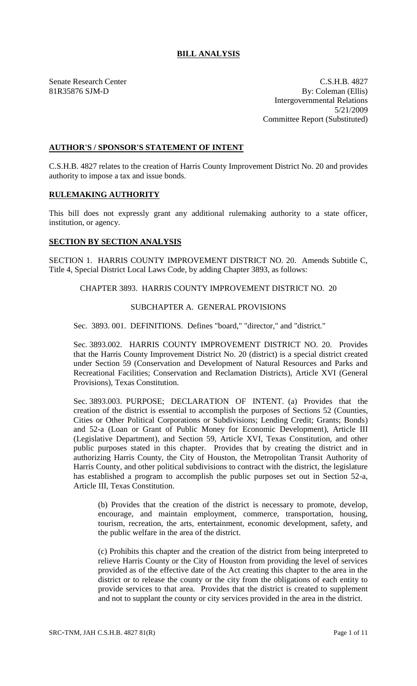## **BILL ANALYSIS**

Senate Research Center C.S.H.B. 4827 81R35876 SJM-D By: Coleman (Ellis) Intergovernmental Relations 5/21/2009 Committee Report (Substituted)

## **AUTHOR'S / SPONSOR'S STATEMENT OF INTENT**

C.S.H.B. 4827 relates to the creation of Harris County Improvement District No. 20 and provides authority to impose a tax and issue bonds.

### **RULEMAKING AUTHORITY**

This bill does not expressly grant any additional rulemaking authority to a state officer, institution, or agency.

## **SECTION BY SECTION ANALYSIS**

SECTION 1. HARRIS COUNTY IMPROVEMENT DISTRICT NO. 20. Amends Subtitle C, Title 4, Special District Local Laws Code, by adding Chapter 3893, as follows:

# CHAPTER 3893. HARRIS COUNTY IMPROVEMENT DISTRICT NO. 20

### SUBCHAPTER A. GENERAL PROVISIONS

Sec. 3893. 001. DEFINITIONS. Defines "board," "director," and "district."

Sec. 3893.002. HARRIS COUNTY IMPROVEMENT DISTRICT NO. 20. Provides that the Harris County Improvement District No. 20 (district) is a special district created under Section 59 (Conservation and Development of Natural Resources and Parks and Recreational Facilities; Conservation and Reclamation Districts), Article XVI (General Provisions), Texas Constitution.

Sec. 3893.003. PURPOSE; DECLARATION OF INTENT. (a) Provides that the creation of the district is essential to accomplish the purposes of Sections 52 (Counties, Cities or Other Political Corporations or Subdivisions; Lending Credit; Grants; Bonds) and 52-a (Loan or Grant of Public Money for Economic Development), Article III (Legislative Department), and Section 59, Article XVI, Texas Constitution, and other public purposes stated in this chapter. Provides that by creating the district and in authorizing Harris County, the City of Houston, the Metropolitan Transit Authority of Harris County, and other political subdivisions to contract with the district, the legislature has established a program to accomplish the public purposes set out in Section 52-a, Article III, Texas Constitution.

(b) Provides that the creation of the district is necessary to promote, develop, encourage, and maintain employment, commerce, transportation, housing, tourism, recreation, the arts, entertainment, economic development, safety, and the public welfare in the area of the district.

(c) Prohibits this chapter and the creation of the district from being interpreted to relieve Harris County or the City of Houston from providing the level of services provided as of the effective date of the Act creating this chapter to the area in the district or to release the county or the city from the obligations of each entity to provide services to that area. Provides that the district is created to supplement and not to supplant the county or city services provided in the area in the district.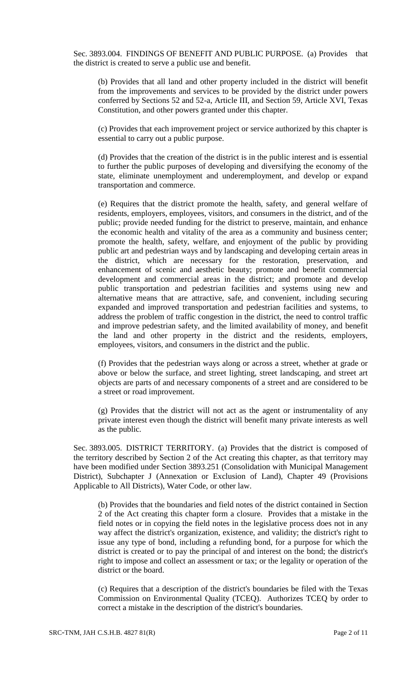Sec. 3893.004. FINDINGS OF BENEFIT AND PUBLIC PURPOSE. (a) Provides that the district is created to serve a public use and benefit.

(b) Provides that all land and other property included in the district will benefit from the improvements and services to be provided by the district under powers conferred by Sections 52 and 52-a, Article III, and Section 59, Article XVI, Texas Constitution, and other powers granted under this chapter.

(c) Provides that each improvement project or service authorized by this chapter is essential to carry out a public purpose.

(d) Provides that the creation of the district is in the public interest and is essential to further the public purposes of developing and diversifying the economy of the state, eliminate unemployment and underemployment, and develop or expand transportation and commerce.

(e) Requires that the district promote the health, safety, and general welfare of residents, employers, employees, visitors, and consumers in the district, and of the public; provide needed funding for the district to preserve, maintain, and enhance the economic health and vitality of the area as a community and business center; promote the health, safety, welfare, and enjoyment of the public by providing public art and pedestrian ways and by landscaping and developing certain areas in the district, which are necessary for the restoration, preservation, and enhancement of scenic and aesthetic beauty; promote and benefit commercial development and commercial areas in the district; and promote and develop public transportation and pedestrian facilities and systems using new and alternative means that are attractive, safe, and convenient, including securing expanded and improved transportation and pedestrian facilities and systems, to address the problem of traffic congestion in the district, the need to control traffic and improve pedestrian safety, and the limited availability of money, and benefit the land and other property in the district and the residents, employers, employees, visitors, and consumers in the district and the public.

(f) Provides that the pedestrian ways along or across a street, whether at grade or above or below the surface, and street lighting, street landscaping, and street art objects are parts of and necessary components of a street and are considered to be a street or road improvement.

(g) Provides that the district will not act as the agent or instrumentality of any private interest even though the district will benefit many private interests as well as the public.

Sec. 3893.005. DISTRICT TERRITORY. (a) Provides that the district is composed of the territory described by Section 2 of the Act creating this chapter, as that territory may have been modified under Section 3893.251 (Consolidation with Municipal Management District), Subchapter J (Annexation or Exclusion of Land), Chapter 49 (Provisions Applicable to All Districts), Water Code, or other law.

(b) Provides that the boundaries and field notes of the district contained in Section 2 of the Act creating this chapter form a closure. Provides that a mistake in the field notes or in copying the field notes in the legislative process does not in any way affect the district's organization, existence, and validity; the district's right to issue any type of bond, including a refunding bond, for a purpose for which the district is created or to pay the principal of and interest on the bond; the district's right to impose and collect an assessment or tax; or the legality or operation of the district or the board.

(c) Requires that a description of the district's boundaries be filed with the Texas Commission on Environmental Quality (TCEQ). Authorizes TCEQ by order to correct a mistake in the description of the district's boundaries.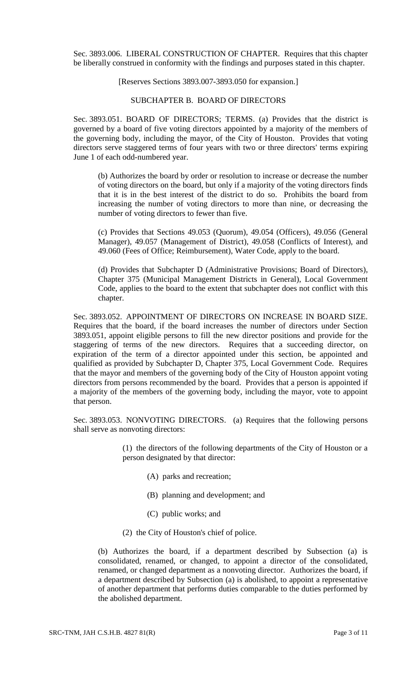Sec. 3893.006. LIBERAL CONSTRUCTION OF CHAPTER. Requires that this chapter be liberally construed in conformity with the findings and purposes stated in this chapter.

[Reserves Sections 3893.007-3893.050 for expansion.]

SUBCHAPTER B. BOARD OF DIRECTORS

Sec. 3893.051. BOARD OF DIRECTORS; TERMS. (a) Provides that the district is governed by a board of five voting directors appointed by a majority of the members of the governing body, including the mayor, of the City of Houston. Provides that voting directors serve staggered terms of four years with two or three directors' terms expiring June 1 of each odd-numbered year.

(b) Authorizes the board by order or resolution to increase or decrease the number of voting directors on the board, but only if a majority of the voting directors finds that it is in the best interest of the district to do so. Prohibits the board from increasing the number of voting directors to more than nine, or decreasing the number of voting directors to fewer than five.

(c) Provides that Sections 49.053 (Quorum), 49.054 (Officers), 49.056 (General Manager), 49.057 (Management of District), 49.058 (Conflicts of Interest), and 49.060 (Fees of Office; Reimbursement), Water Code, apply to the board.

(d) Provides that Subchapter D (Administrative Provisions; Board of Directors), Chapter 375 (Municipal Management Districts in General), Local Government Code, applies to the board to the extent that subchapter does not conflict with this chapter.

Sec. 3893.052. APPOINTMENT OF DIRECTORS ON INCREASE IN BOARD SIZE. Requires that the board, if the board increases the number of directors under Section 3893.051, appoint eligible persons to fill the new director positions and provide for the staggering of terms of the new directors. Requires that a succeeding director, on expiration of the term of a director appointed under this section, be appointed and qualified as provided by Subchapter D, Chapter 375, Local Government Code. Requires that the mayor and members of the governing body of the City of Houston appoint voting directors from persons recommended by the board. Provides that a person is appointed if a majority of the members of the governing body, including the mayor, vote to appoint that person.

Sec. 3893.053. NONVOTING DIRECTORS. (a) Requires that the following persons shall serve as nonvoting directors:

> (1) the directors of the following departments of the City of Houston or a person designated by that director:

- (A) parks and recreation;
- (B) planning and development; and
- (C) public works; and
- (2) the City of Houston's chief of police.

(b) Authorizes the board, if a department described by Subsection (a) is consolidated, renamed, or changed, to appoint a director of the consolidated, renamed, or changed department as a nonvoting director. Authorizes the board, if a department described by Subsection (a) is abolished, to appoint a representative of another department that performs duties comparable to the duties performed by the abolished department.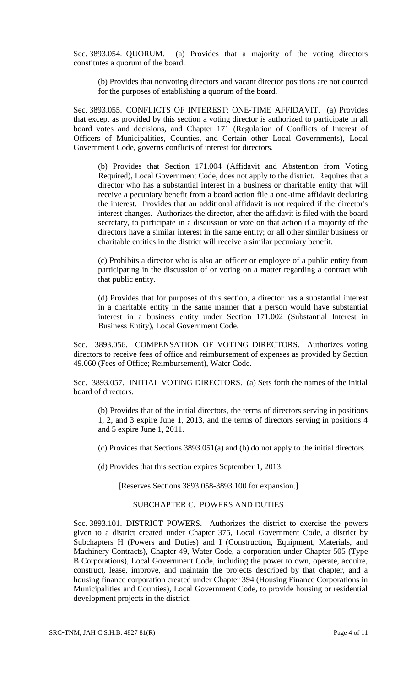Sec. 3893.054. QUORUM. (a) Provides that a majority of the voting directors constitutes a quorum of the board.

(b) Provides that nonvoting directors and vacant director positions are not counted for the purposes of establishing a quorum of the board.

Sec. 3893.055. CONFLICTS OF INTEREST; ONE-TIME AFFIDAVIT. (a) Provides that except as provided by this section a voting director is authorized to participate in all board votes and decisions, and Chapter 171 (Regulation of Conflicts of Interest of Officers of Municipalities, Counties, and Certain other Local Governments), Local Government Code, governs conflicts of interest for directors.

(b) Provides that Section 171.004 (Affidavit and Abstention from Voting Required), Local Government Code, does not apply to the district. Requires that a director who has a substantial interest in a business or charitable entity that will receive a pecuniary benefit from a board action file a one-time affidavit declaring the interest. Provides that an additional affidavit is not required if the director's interest changes. Authorizes the director, after the affidavit is filed with the board secretary, to participate in a discussion or vote on that action if a majority of the directors have a similar interest in the same entity; or all other similar business or charitable entities in the district will receive a similar pecuniary benefit.

(c) Prohibits a director who is also an officer or employee of a public entity from participating in the discussion of or voting on a matter regarding a contract with that public entity.

(d) Provides that for purposes of this section, a director has a substantial interest in a charitable entity in the same manner that a person would have substantial interest in a business entity under Section 171.002 (Substantial Interest in Business Entity), Local Government Code.

Sec. 3893.056. COMPENSATION OF VOTING DIRECTORS. Authorizes voting directors to receive fees of office and reimbursement of expenses as provided by Section 49.060 (Fees of Office; Reimbursement), Water Code.

Sec. 3893.057. INITIAL VOTING DIRECTORS. (a) Sets forth the names of the initial board of directors.

(b) Provides that of the initial directors, the terms of directors serving in positions 1, 2, and 3 expire June 1, 2013, and the terms of directors serving in positions 4 and 5 expire June 1, 2011.

(c) Provides that Sections 3893.051(a) and (b) do not apply to the initial directors.

(d) Provides that this section expires September 1, 2013.

[Reserves Sections 3893.058-3893.100 for expansion.]

# SUBCHAPTER C. POWERS AND DUTIES

Sec. 3893.101. DISTRICT POWERS. Authorizes the district to exercise the powers given to a district created under Chapter 375, Local Government Code, a district by Subchapters H (Powers and Duties) and I (Construction, Equipment, Materials, and Machinery Contracts), Chapter 49, Water Code, a corporation under Chapter 505 (Type B Corporations), Local Government Code, including the power to own, operate, acquire, construct, lease, improve, and maintain the projects described by that chapter, and a housing finance corporation created under Chapter 394 (Housing Finance Corporations in Municipalities and Counties), Local Government Code, to provide housing or residential development projects in the district.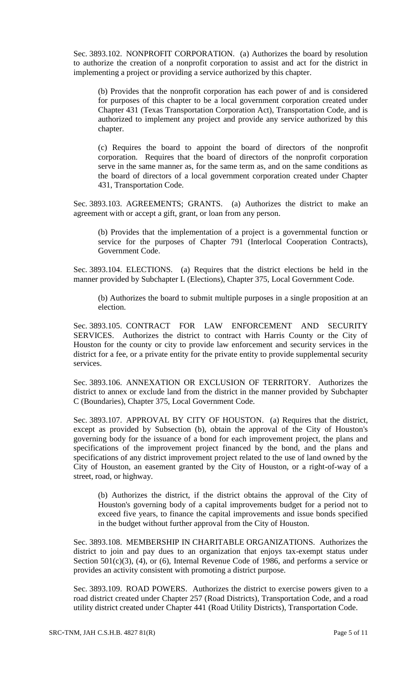Sec. 3893.102. NONPROFIT CORPORATION. (a) Authorizes the board by resolution to authorize the creation of a nonprofit corporation to assist and act for the district in implementing a project or providing a service authorized by this chapter.

(b) Provides that the nonprofit corporation has each power of and is considered for purposes of this chapter to be a local government corporation created under Chapter 431 (Texas Transportation Corporation Act), Transportation Code, and is authorized to implement any project and provide any service authorized by this chapter.

(c) Requires the board to appoint the board of directors of the nonprofit corporation. Requires that the board of directors of the nonprofit corporation serve in the same manner as, for the same term as, and on the same conditions as the board of directors of a local government corporation created under Chapter 431, Transportation Code.

Sec. 3893.103. AGREEMENTS; GRANTS. (a) Authorizes the district to make an agreement with or accept a gift, grant, or loan from any person.

(b) Provides that the implementation of a project is a governmental function or service for the purposes of Chapter 791 (Interlocal Cooperation Contracts), Government Code.

Sec. 3893.104. ELECTIONS. (a) Requires that the district elections be held in the manner provided by Subchapter L (Elections), Chapter 375, Local Government Code.

(b) Authorizes the board to submit multiple purposes in a single proposition at an election.

Sec. 3893.105. CONTRACT FOR LAW ENFORCEMENT AND SECURITY SERVICES. Authorizes the district to contract with Harris County or the City of Houston for the county or city to provide law enforcement and security services in the district for a fee, or a private entity for the private entity to provide supplemental security services.

Sec. 3893.106. ANNEXATION OR EXCLUSION OF TERRITORY. Authorizes the district to annex or exclude land from the district in the manner provided by Subchapter C (Boundaries), Chapter 375, Local Government Code.

Sec. 3893.107. APPROVAL BY CITY OF HOUSTON. (a) Requires that the district, except as provided by Subsection (b), obtain the approval of the City of Houston's governing body for the issuance of a bond for each improvement project, the plans and specifications of the improvement project financed by the bond, and the plans and specifications of any district improvement project related to the use of land owned by the City of Houston, an easement granted by the City of Houston, or a right-of-way of a street, road, or highway.

(b) Authorizes the district, if the district obtains the approval of the City of Houston's governing body of a capital improvements budget for a period not to exceed five years, to finance the capital improvements and issue bonds specified in the budget without further approval from the City of Houston.

Sec. 3893.108. MEMBERSHIP IN CHARITABLE ORGANIZATIONS. Authorizes the district to join and pay dues to an organization that enjoys tax-exempt status under Section  $501(c)(3)$ , (4), or (6), Internal Revenue Code of 1986, and performs a service or provides an activity consistent with promoting a district purpose.

Sec. 3893.109. ROAD POWERS. Authorizes the district to exercise powers given to a road district created under Chapter 257 (Road Districts), Transportation Code, and a road utility district created under Chapter 441 (Road Utility Districts), Transportation Code.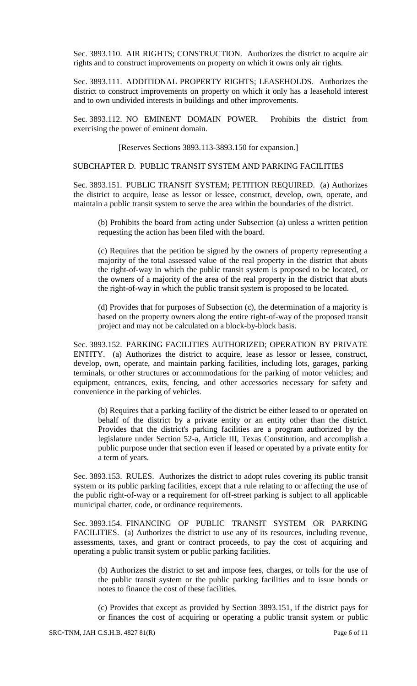Sec. 3893.110. AIR RIGHTS; CONSTRUCTION. Authorizes the district to acquire air rights and to construct improvements on property on which it owns only air rights.

Sec. 3893.111. ADDITIONAL PROPERTY RIGHTS; LEASEHOLDS. Authorizes the district to construct improvements on property on which it only has a leasehold interest and to own undivided interests in buildings and other improvements.

Sec. 3893.112. NO EMINENT DOMAIN POWER. Prohibits the district from exercising the power of eminent domain.

[Reserves Sections 3893.113-3893.150 for expansion.]

#### SUBCHAPTER D. PUBLIC TRANSIT SYSTEM AND PARKING FACILITIES

Sec. 3893.151. PUBLIC TRANSIT SYSTEM; PETITION REQUIRED. (a) Authorizes the district to acquire, lease as lessor or lessee, construct, develop, own, operate, and maintain a public transit system to serve the area within the boundaries of the district.

(b) Prohibits the board from acting under Subsection (a) unless a written petition requesting the action has been filed with the board.

(c) Requires that the petition be signed by the owners of property representing a majority of the total assessed value of the real property in the district that abuts the right-of-way in which the public transit system is proposed to be located, or the owners of a majority of the area of the real property in the district that abuts the right-of-way in which the public transit system is proposed to be located.

(d) Provides that for purposes of Subsection (c), the determination of a majority is based on the property owners along the entire right-of-way of the proposed transit project and may not be calculated on a block-by-block basis.

Sec. 3893.152. PARKING FACILITIES AUTHORIZED; OPERATION BY PRIVATE ENTITY. (a) Authorizes the district to acquire, lease as lessor or lessee, construct, develop, own, operate, and maintain parking facilities, including lots, garages, parking terminals, or other structures or accommodations for the parking of motor vehicles; and equipment, entrances, exits, fencing, and other accessories necessary for safety and convenience in the parking of vehicles.

(b) Requires that a parking facility of the district be either leased to or operated on behalf of the district by a private entity or an entity other than the district. Provides that the district's parking facilities are a program authorized by the legislature under Section 52-a, Article III, Texas Constitution, and accomplish a public purpose under that section even if leased or operated by a private entity for a term of years.

Sec. 3893.153. RULES. Authorizes the district to adopt rules covering its public transit system or its public parking facilities, except that a rule relating to or affecting the use of the public right-of-way or a requirement for off-street parking is subject to all applicable municipal charter, code, or ordinance requirements.

Sec. 3893.154. FINANCING OF PUBLIC TRANSIT SYSTEM OR PARKING FACILITIES. (a) Authorizes the district to use any of its resources, including revenue, assessments, taxes, and grant or contract proceeds, to pay the cost of acquiring and operating a public transit system or public parking facilities.

(b) Authorizes the district to set and impose fees, charges, or tolls for the use of the public transit system or the public parking facilities and to issue bonds or notes to finance the cost of these facilities.

(c) Provides that except as provided by Section 3893.151, if the district pays for or finances the cost of acquiring or operating a public transit system or public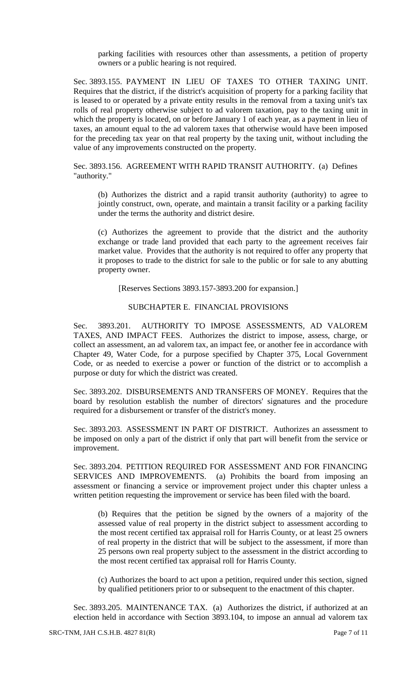parking facilities with resources other than assessments, a petition of property owners or a public hearing is not required.

Sec. 3893.155. PAYMENT IN LIEU OF TAXES TO OTHER TAXING UNIT. Requires that the district, if the district's acquisition of property for a parking facility that is leased to or operated by a private entity results in the removal from a taxing unit's tax rolls of real property otherwise subject to ad valorem taxation, pay to the taxing unit in which the property is located, on or before January 1 of each year, as a payment in lieu of taxes, an amount equal to the ad valorem taxes that otherwise would have been imposed for the preceding tax year on that real property by the taxing unit, without including the value of any improvements constructed on the property.

Sec. 3893.156. AGREEMENT WITH RAPID TRANSIT AUTHORITY. (a) Defines "authority."

(b) Authorizes the district and a rapid transit authority (authority) to agree to jointly construct, own, operate, and maintain a transit facility or a parking facility under the terms the authority and district desire.

(c) Authorizes the agreement to provide that the district and the authority exchange or trade land provided that each party to the agreement receives fair market value. Provides that the authority is not required to offer any property that it proposes to trade to the district for sale to the public or for sale to any abutting property owner.

[Reserves Sections 3893.157-3893.200 for expansion.]

#### SUBCHAPTER E. FINANCIAL PROVISIONS

Sec. 3893.201. AUTHORITY TO IMPOSE ASSESSMENTS, AD VALOREM TAXES, AND IMPACT FEES. Authorizes the district to impose, assess, charge, or collect an assessment, an ad valorem tax, an impact fee, or another fee in accordance with Chapter 49, Water Code, for a purpose specified by Chapter 375, Local Government Code, or as needed to exercise a power or function of the district or to accomplish a purpose or duty for which the district was created.

Sec. 3893.202. DISBURSEMENTS AND TRANSFERS OF MONEY. Requires that the board by resolution establish the number of directors' signatures and the procedure required for a disbursement or transfer of the district's money.

Sec. 3893.203. ASSESSMENT IN PART OF DISTRICT. Authorizes an assessment to be imposed on only a part of the district if only that part will benefit from the service or improvement.

Sec. 3893.204. PETITION REQUIRED FOR ASSESSMENT AND FOR FINANCING SERVICES AND IMPROVEMENTS. (a) Prohibits the board from imposing an assessment or financing a service or improvement project under this chapter unless a written petition requesting the improvement or service has been filed with the board.

(b) Requires that the petition be signed by the owners of a majority of the assessed value of real property in the district subject to assessment according to the most recent certified tax appraisal roll for Harris County, or at least 25 owners of real property in the district that will be subject to the assessment, if more than 25 persons own real property subject to the assessment in the district according to the most recent certified tax appraisal roll for Harris County.

(c) Authorizes the board to act upon a petition, required under this section, signed by qualified petitioners prior to or subsequent to the enactment of this chapter.

Sec. 3893.205. MAINTENANCE TAX. (a) Authorizes the district, if authorized at an election held in accordance with Section 3893.104, to impose an annual ad valorem tax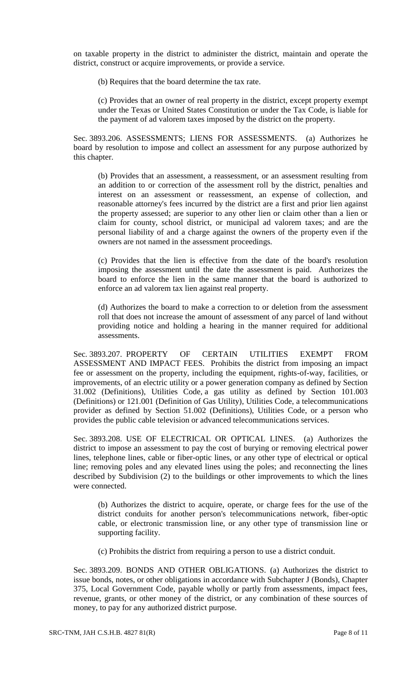on taxable property in the district to administer the district, maintain and operate the district, construct or acquire improvements, or provide a service.

(b) Requires that the board determine the tax rate.

(c) Provides that an owner of real property in the district, except property exempt under the Texas or United States Constitution or under the Tax Code, is liable for the payment of ad valorem taxes imposed by the district on the property.

Sec. 3893.206. ASSESSMENTS; LIENS FOR ASSESSMENTS. (a) Authorizes he board by resolution to impose and collect an assessment for any purpose authorized by this chapter.

(b) Provides that an assessment, a reassessment, or an assessment resulting from an addition to or correction of the assessment roll by the district, penalties and interest on an assessment or reassessment, an expense of collection, and reasonable attorney's fees incurred by the district are a first and prior lien against the property assessed; are superior to any other lien or claim other than a lien or claim for county, school district, or municipal ad valorem taxes; and are the personal liability of and a charge against the owners of the property even if the owners are not named in the assessment proceedings.

(c) Provides that the lien is effective from the date of the board's resolution imposing the assessment until the date the assessment is paid. Authorizes the board to enforce the lien in the same manner that the board is authorized to enforce an ad valorem tax lien against real property.

(d) Authorizes the board to make a correction to or deletion from the assessment roll that does not increase the amount of assessment of any parcel of land without providing notice and holding a hearing in the manner required for additional assessments.

Sec. 3893.207. PROPERTY OF CERTAIN UTILITIES EXEMPT FROM ASSESSMENT AND IMPACT FEES. Prohibits the district from imposing an impact fee or assessment on the property, including the equipment, rights-of-way, facilities, or improvements, of an electric utility or a power generation company as defined by Section 31.002 (Definitions), Utilities Code, a gas utility as defined by Section 101.003 (Definitions) or 121.001 (Definition of Gas Utility), Utilities Code, a telecommunications provider as defined by Section 51.002 (Definitions), Utilities Code, or a person who provides the public cable television or advanced telecommunications services.

Sec. 3893.208. USE OF ELECTRICAL OR OPTICAL LINES. (a) Authorizes the district to impose an assessment to pay the cost of burying or removing electrical power lines, telephone lines, cable or fiber-optic lines, or any other type of electrical or optical line; removing poles and any elevated lines using the poles; and reconnecting the lines described by Subdivision (2) to the buildings or other improvements to which the lines were connected.

(b) Authorizes the district to acquire, operate, or charge fees for the use of the district conduits for another person's telecommunications network, fiber-optic cable, or electronic transmission line, or any other type of transmission line or supporting facility.

(c) Prohibits the district from requiring a person to use a district conduit.

Sec. 3893.209. BONDS AND OTHER OBLIGATIONS. (a) Authorizes the district to issue bonds, notes, or other obligations in accordance with Subchapter J (Bonds), Chapter 375, Local Government Code, payable wholly or partly from assessments, impact fees, revenue, grants, or other money of the district, or any combination of these sources of money, to pay for any authorized district purpose.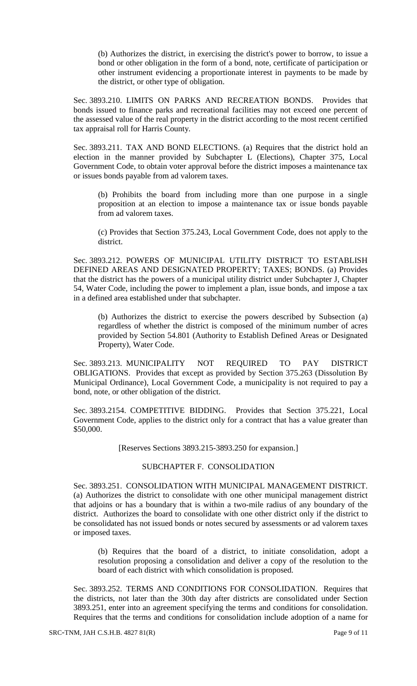(b) Authorizes the district, in exercising the district's power to borrow, to issue a bond or other obligation in the form of a bond, note, certificate of participation or other instrument evidencing a proportionate interest in payments to be made by the district, or other type of obligation.

Sec. 3893.210. LIMITS ON PARKS AND RECREATION BONDS. Provides that bonds issued to finance parks and recreational facilities may not exceed one percent of the assessed value of the real property in the district according to the most recent certified tax appraisal roll for Harris County.

Sec. 3893.211. TAX AND BOND ELECTIONS. (a) Requires that the district hold an election in the manner provided by Subchapter L (Elections), Chapter 375, Local Government Code, to obtain voter approval before the district imposes a maintenance tax or issues bonds payable from ad valorem taxes.

(b) Prohibits the board from including more than one purpose in a single proposition at an election to impose a maintenance tax or issue bonds payable from ad valorem taxes.

(c) Provides that Section 375.243, Local Government Code, does not apply to the district.

Sec. 3893.212. POWERS OF MUNICIPAL UTILITY DISTRICT TO ESTABLISH DEFINED AREAS AND DESIGNATED PROPERTY; TAXES; BONDS. (a) Provides that the district has the powers of a municipal utility district under Subchapter J, Chapter 54, Water Code, including the power to implement a plan, issue bonds, and impose a tax in a defined area established under that subchapter.

(b) Authorizes the district to exercise the powers described by Subsection (a) regardless of whether the district is composed of the minimum number of acres provided by Section 54.801 (Authority to Establish Defined Areas or Designated Property), Water Code.

Sec. 3893.213. MUNICIPALITY NOT REQUIRED TO PAY DISTRICT OBLIGATIONS. Provides that except as provided by Section 375.263 (Dissolution By Municipal Ordinance), Local Government Code, a municipality is not required to pay a bond, note, or other obligation of the district.

Sec. 3893.2154. COMPETITIVE BIDDING. Provides that Section 375.221, Local Government Code, applies to the district only for a contract that has a value greater than \$50,000.

[Reserves Sections 3893.215-3893.250 for expansion.]

### SUBCHAPTER F. CONSOLIDATION

Sec. 3893.251. CONSOLIDATION WITH MUNICIPAL MANAGEMENT DISTRICT. (a) Authorizes the district to consolidate with one other municipal management district that adjoins or has a boundary that is within a two-mile radius of any boundary of the district. Authorizes the board to consolidate with one other district only if the district to be consolidated has not issued bonds or notes secured by assessments or ad valorem taxes or imposed taxes.

(b) Requires that the board of a district, to initiate consolidation, adopt a resolution proposing a consolidation and deliver a copy of the resolution to the board of each district with which consolidation is proposed.

Sec. 3893.252. TERMS AND CONDITIONS FOR CONSOLIDATION. Requires that the districts, not later than the 30th day after districts are consolidated under Section 3893.251, enter into an agreement specifying the terms and conditions for consolidation. Requires that the terms and conditions for consolidation include adoption of a name for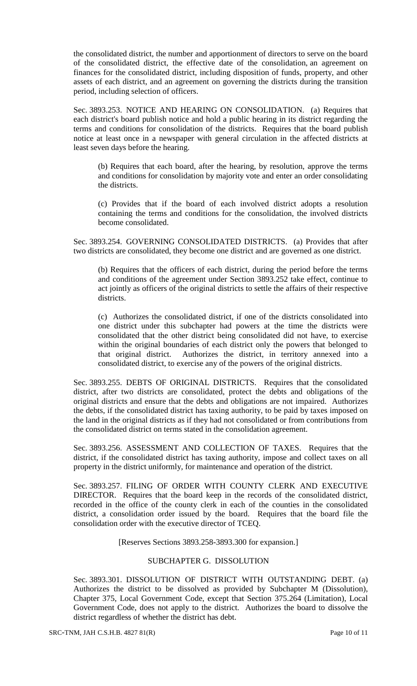the consolidated district, the number and apportionment of directors to serve on the board of the consolidated district, the effective date of the consolidation, an agreement on finances for the consolidated district, including disposition of funds, property, and other assets of each district, and an agreement on governing the districts during the transition period, including selection of officers.

Sec. 3893.253. NOTICE AND HEARING ON CONSOLIDATION. (a) Requires that each district's board publish notice and hold a public hearing in its district regarding the terms and conditions for consolidation of the districts. Requires that the board publish notice at least once in a newspaper with general circulation in the affected districts at least seven days before the hearing.

(b) Requires that each board, after the hearing, by resolution, approve the terms and conditions for consolidation by majority vote and enter an order consolidating the districts.

(c) Provides that if the board of each involved district adopts a resolution containing the terms and conditions for the consolidation, the involved districts become consolidated.

Sec. 3893.254. GOVERNING CONSOLIDATED DISTRICTS. (a) Provides that after two districts are consolidated, they become one district and are governed as one district.

(b) Requires that the officers of each district, during the period before the terms and conditions of the agreement under Section 3893.252 take effect, continue to act jointly as officers of the original districts to settle the affairs of their respective districts.

(c) Authorizes the consolidated district, if one of the districts consolidated into one district under this subchapter had powers at the time the districts were consolidated that the other district being consolidated did not have, to exercise within the original boundaries of each district only the powers that belonged to that original district. Authorizes the district, in territory annexed into a consolidated district, to exercise any of the powers of the original districts.

Sec. 3893.255. DEBTS OF ORIGINAL DISTRICTS. Requires that the consolidated district, after two districts are consolidated, protect the debts and obligations of the original districts and ensure that the debts and obligations are not impaired. Authorizes the debts, if the consolidated district has taxing authority, to be paid by taxes imposed on the land in the original districts as if they had not consolidated or from contributions from the consolidated district on terms stated in the consolidation agreement.

Sec. 3893.256. ASSESSMENT AND COLLECTION OF TAXES. Requires that the district, if the consolidated district has taxing authority, impose and collect taxes on all property in the district uniformly, for maintenance and operation of the district.

Sec. 3893.257. FILING OF ORDER WITH COUNTY CLERK AND EXECUTIVE DIRECTOR. Requires that the board keep in the records of the consolidated district, recorded in the office of the county clerk in each of the counties in the consolidated district, a consolidation order issued by the board. Requires that the board file the consolidation order with the executive director of TCEQ.

[Reserves Sections 3893.258-3893.300 for expansion.]

## SUBCHAPTER G. DISSOLUTION

Sec. 3893.301. DISSOLUTION OF DISTRICT WITH OUTSTANDING DEBT. (a) Authorizes the district to be dissolved as provided by Subchapter M (Dissolution), Chapter 375, Local Government Code, except that Section 375.264 (Limitation), Local Government Code, does not apply to the district. Authorizes the board to dissolve the district regardless of whether the district has debt.